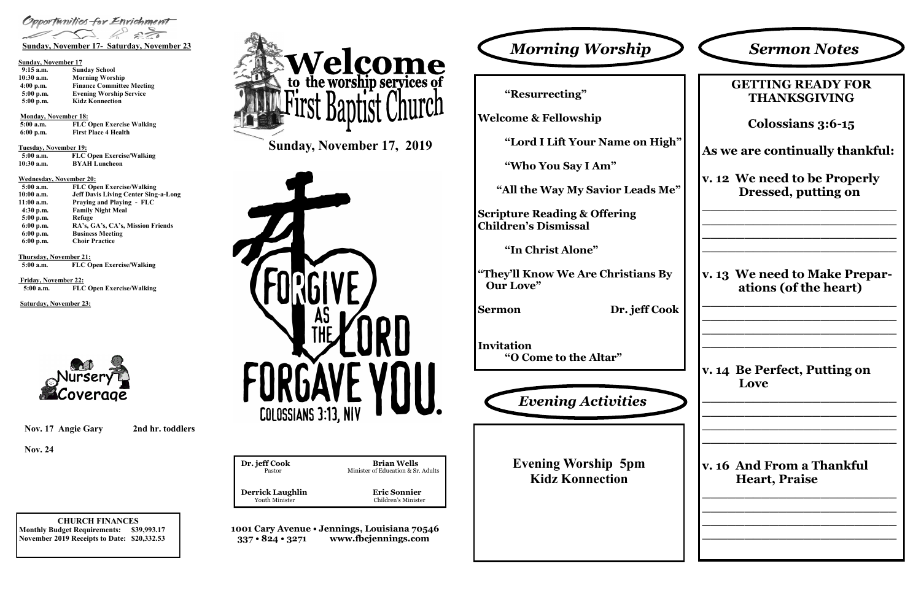**CHURCH FINANCES Monthly Budget Requirements: \$39,993.17 November 2019 Receipts to Date: \$20,332.53**

**1001 Cary Avenue • Jennings, Louisiana 70546 337 • 824 • 3271 www.fbcjennings.com**



**Dr. jeff Cook Brian Wells**<br>Pastor **Brian Wells**<br>Minister of Education & Sr. Minister of Education & Sr. Adults **Derrick Laughlin**<br>
Youth Minister<br>
Children's Minister<br>
Children's Minister

Children's Minister



## **Sunday, November 17**

| $9:15$ a.m.  | <b>Sunday School</b>             |  |  |
|--------------|----------------------------------|--|--|
| $10:30$ a.m. | <b>Morning Worship</b>           |  |  |
| $4:00$ p.m.  | <b>Finance Committee Meeting</b> |  |  |
| $5:00$ p.m.  | <b>Evening Worship Service</b>   |  |  |
| 5:00 p.m.    | <b>Kidz Konnection</b>           |  |  |

**Monday, November 18:** 

**5:00 a.m. FLC Open Exercise Walking 6:00 p.m. First Place 4 Health**

**Tuesday, November 19:**

| $5:00$ a.m.  | <b>FLC Open Exercise/Walking</b> |
|--------------|----------------------------------|
| $10:30$ a.m. | <b>BYAH</b> Luncheon             |

### **Wednesday, November 20:**

| $5:00$ a.m. | <b>FLC Open Exercise/Walking</b>            |
|-------------|---------------------------------------------|
| 10:00 a.m.  | <b>Jeff Davis Living Center Sing-a-Long</b> |
| 11:00 a.m.  | <b>Praying and Playing - FLC</b>            |
| $4:30$ p.m. | <b>Family Night Meal</b>                    |
| 5:00 p.m.   | Refuge                                      |
| $6:00$ p.m. | RA's, GA's, CA's, Mission Friends           |
| $6:00$ p.m. | <b>Business Meeting</b>                     |
| $6:00$ p.m. | <b>Choir Practice</b>                       |

**Thursday, November 21:**<br>5:00 a.m. **FLC O** 

**FLC Open Exercise/Walking** 

**Friday, November 22: 5:00 a.m. FLC Open Exercise/Walking**

**Saturday, November 23:**



**"Resurrecting"**

**Welcome & Fellowship**

**"Lord I Lift Your Name on High"**

**"Who You Say I Am"**

 **"All the Way My Savior Leads Me"**

**Scripture Reading & Offering Children's Dismissal**

**"In Christ Alone"**

**"They'll Know We Are Christians By Our Love"**

**Sermon Dr. jeff Cook**

**Invitation "O Come to the Altar"**

| <b>GETTING READY FOR</b><br>THANKSGIVING               |
|--------------------------------------------------------|
| Colossians 3:6-15                                      |
| As we are continually thankful:                        |
| v. 12 We need to be Properly<br>Dressed, putting on    |
| v. 13 We need to Make Prepar-<br>ations (of the heart) |
| v. 14 Be Perfect, Putting on<br>Love                   |
| v. 16  And From a Thankful                             |

**Evening Worship 5pm Kidz Konnection**



**Nov. 17 Angie Gary 2nd hr. toddlers**

**Nov. 24**